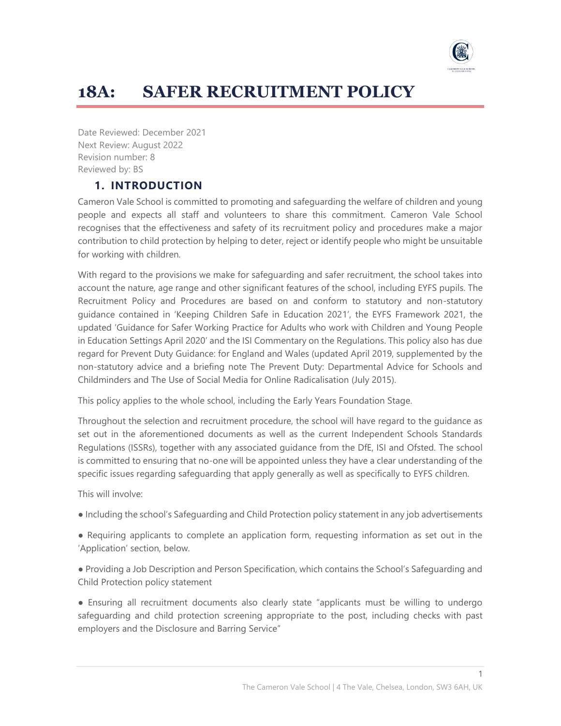

# **18A: SAFER RECRUITMENT POLICY**

Date Reviewed: December 2021 Next Review: August 2022 Revision number: 8 Reviewed by: BS

# **1. INTRODUCTION**

Cameron Vale School is committed to promoting and safeguarding the welfare of children and young people and expects all staff and volunteers to share this commitment. Cameron Vale School recognises that the effectiveness and safety of its recruitment policy and procedures make a major contribution to child protection by helping to deter, reject or identify people who might be unsuitable for working with children.

With regard to the provisions we make for safeguarding and safer recruitment, the school takes into account the nature, age range and other significant features of the school, including EYFS pupils. The Recruitment Policy and Procedures are based on and conform to statutory and non-statutory guidance contained in 'Keeping Children Safe in Education 2021', the EYFS Framework 2021, the updated 'Guidance for Safer Working Practice for Adults who work with Children and Young People in Education Settings April 2020' and the ISI Commentary on the Regulations. This policy also has due regard for Prevent Duty Guidance: for England and Wales (updated April 2019, supplemented by the non-statutory advice and a briefing note The Prevent Duty: Departmental Advice for Schools and Childminders and The Use of Social Media for Online Radicalisation (July 2015).

This policy applies to the whole school, including the Early Years Foundation Stage.

Throughout the selection and recruitment procedure, the school will have regard to the guidance as set out in the aforementioned documents as well as the current Independent Schools Standards Regulations (ISSRs), together with any associated guidance from the DfE, ISI and Ofsted. The school is committed to ensuring that no-one will be appointed unless they have a clear understanding of the specific issues regarding safeguarding that apply generally as well as specifically to EYFS children.

This will involve:

- Including the school's Safeguarding and Child Protection policy statement in any job advertisements
- Requiring applicants to complete an application form, requesting information as set out in the 'Application' section, below.
- Providing a Job Description and Person Specification, which contains the School's Safeguarding and Child Protection policy statement
- Ensuring all recruitment documents also clearly state "applicants must be willing to undergo safeguarding and child protection screening appropriate to the post, including checks with past employers and the Disclosure and Barring Service"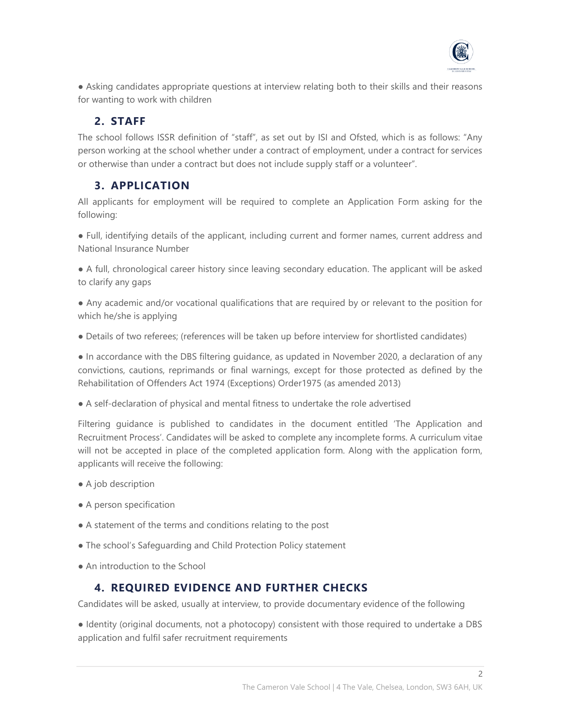

● Asking candidates appropriate questions at interview relating both to their skills and their reasons for wanting to work with children

# **2. STAFF**

The school follows ISSR definition of "staff", as set out by ISI and Ofsted, which is as follows: "Any person working at the school whether under a contract of employment, under a contract for services or otherwise than under a contract but does not include supply staff or a volunteer".

# **3. APPLICATION**

All applicants for employment will be required to complete an Application Form asking for the following:

● Full, identifying details of the applicant, including current and former names, current address and National Insurance Number

● A full, chronological career history since leaving secondary education. The applicant will be asked to clarify any gaps

● Any academic and/or vocational qualifications that are required by or relevant to the position for which he/she is applying

● Details of two referees; (references will be taken up before interview for shortlisted candidates)

● In accordance with the DBS filtering guidance, as updated in November 2020, a declaration of any convictions, cautions, reprimands or final warnings, except for those protected as defined by the Rehabilitation of Offenders Act 1974 (Exceptions) Order1975 (as amended 2013)

● A self-declaration of physical and mental fitness to undertake the role advertised

Filtering guidance is published to candidates in the document entitled 'The Application and Recruitment Process'. Candidates will be asked to complete any incomplete forms. A curriculum vitae will not be accepted in place of the completed application form. Along with the application form, applicants will receive the following:

- A job description
- A person specification
- A statement of the terms and conditions relating to the post
- The school's Safeguarding and Child Protection Policy statement
- An introduction to the School

# **4. REQUIRED EVIDENCE AND FURTHER CHECKS**

Candidates will be asked, usually at interview, to provide documentary evidence of the following

● Identity (original documents, not a photocopy) consistent with those required to undertake a DBS application and fulfil safer recruitment requirements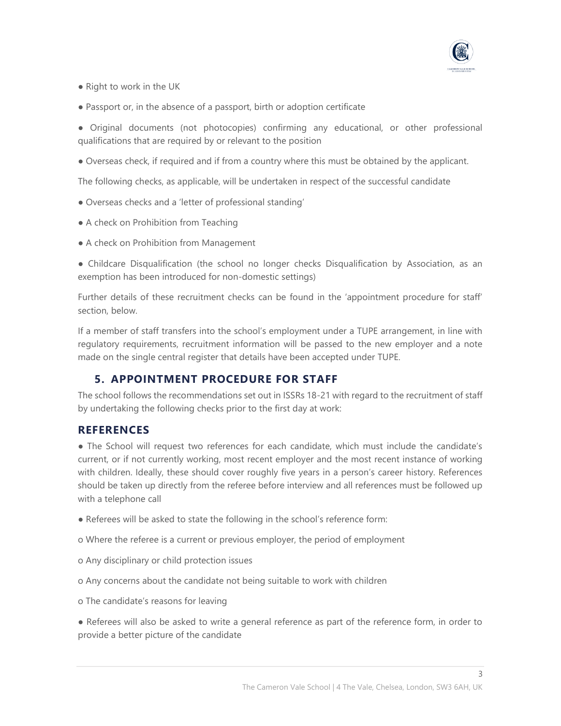

- Right to work in the UK
- Passport or, in the absence of a passport, birth or adoption certificate

● Original documents (not photocopies) confirming any educational, or other professional qualifications that are required by or relevant to the position

● Overseas check, if required and if from a country where this must be obtained by the applicant.

The following checks, as applicable, will be undertaken in respect of the successful candidate

- Overseas checks and a 'letter of professional standing'
- A check on Prohibition from Teaching
- A check on Prohibition from Management

● Childcare Disqualification (the school no longer checks Disqualification by Association, as an exemption has been introduced for non-domestic settings)

Further details of these recruitment checks can be found in the 'appointment procedure for staff' section, below.

If a member of staff transfers into the school's employment under a TUPE arrangement, in line with regulatory requirements, recruitment information will be passed to the new employer and a note made on the single central register that details have been accepted under TUPE.

#### **5. APPOINTMENT PROCEDURE FOR STAFF**

The school follows the recommendations set out in ISSRs 18-21 with regard to the recruitment of staff by undertaking the following checks prior to the first day at work:

#### **REFERENCES**

• The School will request two references for each candidate, which must include the candidate's current, or if not currently working, most recent employer and the most recent instance of working with children. Ideally, these should cover roughly five years in a person's career history. References should be taken up directly from the referee before interview and all references must be followed up with a telephone call

- Referees will be asked to state the following in the school's reference form:
- o Where the referee is a current or previous employer, the period of employment
- o Any disciplinary or child protection issues
- o Any concerns about the candidate not being suitable to work with children
- o The candidate's reasons for leaving

● Referees will also be asked to write a general reference as part of the reference form, in order to provide a better picture of the candidate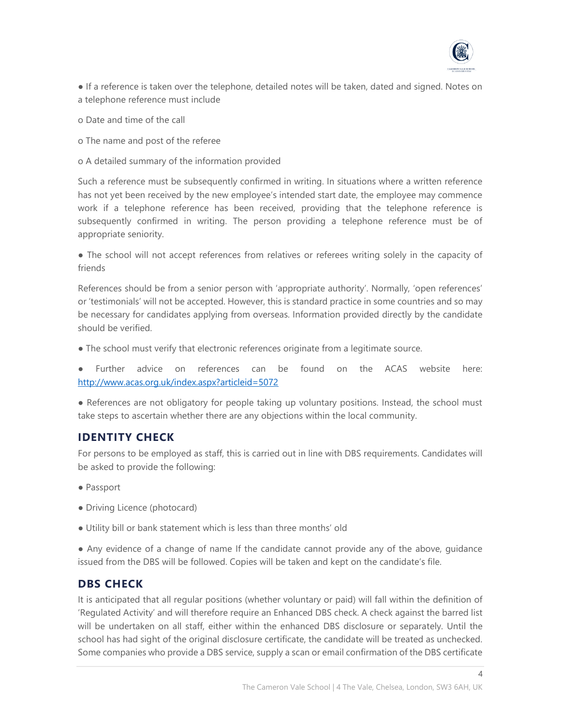

● If a reference is taken over the telephone, detailed notes will be taken, dated and signed. Notes on a telephone reference must include

- o Date and time of the call
- o The name and post of the referee
- o A detailed summary of the information provided

Such a reference must be subsequently confirmed in writing. In situations where a written reference has not yet been received by the new employee's intended start date, the employee may commence work if a telephone reference has been received, providing that the telephone reference is subsequently confirmed in writing. The person providing a telephone reference must be of appropriate seniority.

● The school will not accept references from relatives or referees writing solely in the capacity of friends

References should be from a senior person with 'appropriate authority'. Normally, 'open references' or 'testimonials' will not be accepted. However, this is standard practice in some countries and so may be necessary for candidates applying from overseas. Information provided directly by the candidate should be verified.

• The school must verify that electronic references originate from a legitimate source.

Further advice on references can be found on the ACAS website here: <http://www.acas.org.uk/index.aspx?articleid=5072>

● References are not obligatory for people taking up voluntary positions. Instead, the school must take steps to ascertain whether there are any objections within the local community.

#### **IDENTITY CHECK**

For persons to be employed as staff, this is carried out in line with DBS requirements. Candidates will be asked to provide the following:

- Passport
- Driving Licence (photocard)
- Utility bill or bank statement which is less than three months' old

● Any evidence of a change of name If the candidate cannot provide any of the above, guidance issued from the DBS will be followed. Copies will be taken and kept on the candidate's file.

#### **DBS CHECK**

It is anticipated that all regular positions (whether voluntary or paid) will fall within the definition of 'Regulated Activity' and will therefore require an Enhanced DBS check. A check against the barred list will be undertaken on all staff, either within the enhanced DBS disclosure or separately. Until the school has had sight of the original disclosure certificate, the candidate will be treated as unchecked. Some companies who provide a DBS service, supply a scan or email confirmation of the DBS certificate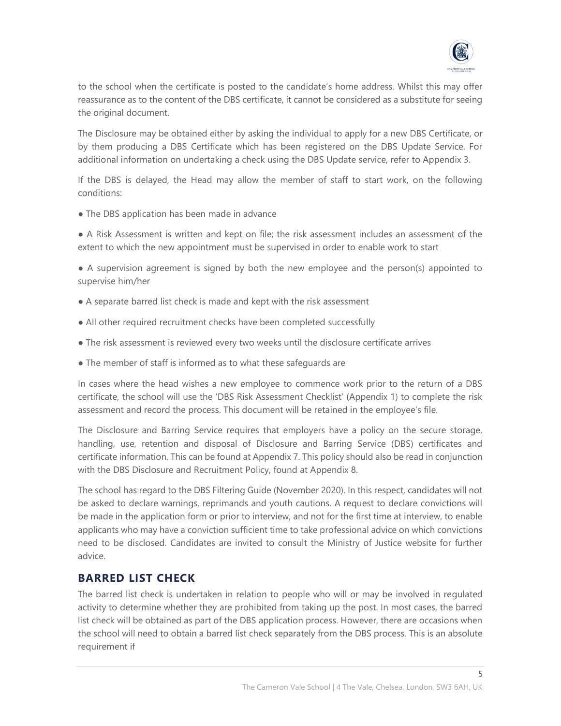

to the school when the certificate is posted to the candidate's home address. Whilst this may offer reassurance as to the content of the DBS certificate, it cannot be considered as a substitute for seeing the original document.

The Disclosure may be obtained either by asking the individual to apply for a new DBS Certificate, or by them producing a DBS Certificate which has been registered on the DBS Update Service. For additional information on undertaking a check using the DBS Update service, refer to Appendix 3.

If the DBS is delayed, the Head may allow the member of staff to start work, on the following conditions:

• The DBS application has been made in advance

● A Risk Assessment is written and kept on file; the risk assessment includes an assessment of the extent to which the new appointment must be supervised in order to enable work to start

● A supervision agreement is signed by both the new employee and the person(s) appointed to supervise him/her

- A separate barred list check is made and kept with the risk assessment
- All other required recruitment checks have been completed successfully
- The risk assessment is reviewed every two weeks until the disclosure certificate arrives
- The member of staff is informed as to what these safeguards are

In cases where the head wishes a new employee to commence work prior to the return of a DBS certificate, the school will use the 'DBS Risk Assessment Checklist' (Appendix 1) to complete the risk assessment and record the process. This document will be retained in the employee's file.

The Disclosure and Barring Service requires that employers have a policy on the secure storage, handling, use, retention and disposal of Disclosure and Barring Service (DBS) certificates and certificate information. This can be found at Appendix 7. This policy should also be read in conjunction with the DBS Disclosure and Recruitment Policy, found at Appendix 8.

The school has regard to the DBS Filtering Guide (November 2020). In this respect, candidates will not be asked to declare warnings, reprimands and youth cautions. A request to declare convictions will be made in the application form or prior to interview, and not for the first time at interview, to enable applicants who may have a conviction sufficient time to take professional advice on which convictions need to be disclosed. Candidates are invited to consult the Ministry of Justice website for further advice.

# **BARRED LIST CHECK**

The barred list check is undertaken in relation to people who will or may be involved in regulated activity to determine whether they are prohibited from taking up the post. In most cases, the barred list check will be obtained as part of the DBS application process. However, there are occasions when the school will need to obtain a barred list check separately from the DBS process. This is an absolute requirement if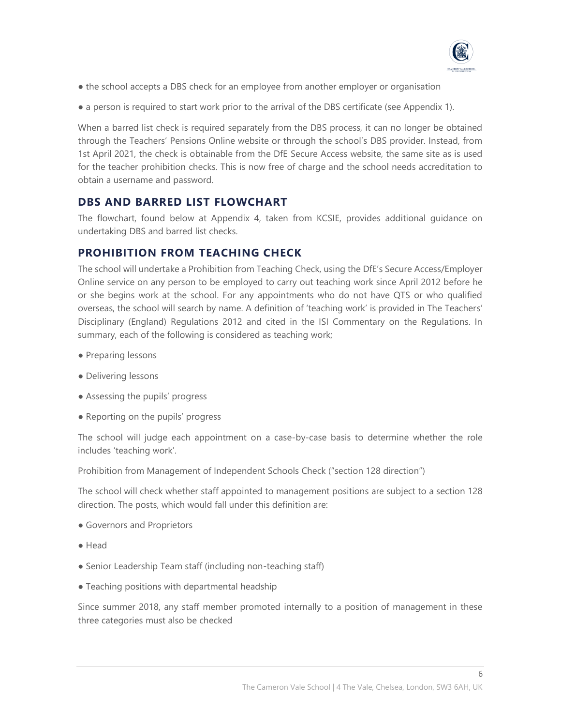

- the school accepts a DBS check for an employee from another employer or organisation
- a person is required to start work prior to the arrival of the DBS certificate (see Appendix 1).

When a barred list check is required separately from the DBS process, it can no longer be obtained through the Teachers' Pensions Online website or through the school's DBS provider. Instead, from 1st April 2021, the check is obtainable from the DfE Secure Access website, the same site as is used for the teacher prohibition checks. This is now free of charge and the school needs accreditation to obtain a username and password.

## **DBS AND BARRED LIST FLOWCHART**

The flowchart, found below at Appendix 4, taken from KCSIE, provides additional guidance on undertaking DBS and barred list checks.

## **PROHIBITION FROM TEACHING CHECK**

The school will undertake a Prohibition from Teaching Check, using the DfE's Secure Access/Employer Online service on any person to be employed to carry out teaching work since April 2012 before he or she begins work at the school. For any appointments who do not have QTS or who qualified overseas, the school will search by name. A definition of 'teaching work' is provided in The Teachers' Disciplinary (England) Regulations 2012 and cited in the ISI Commentary on the Regulations. In summary, each of the following is considered as teaching work;

- Preparing lessons
- Delivering lessons
- Assessing the pupils' progress
- Reporting on the pupils' progress

The school will judge each appointment on a case-by-case basis to determine whether the role includes 'teaching work'.

Prohibition from Management of Independent Schools Check ("section 128 direction")

The school will check whether staff appointed to management positions are subject to a section 128 direction. The posts, which would fall under this definition are:

- Governors and Proprietors
- Head
- Senior Leadership Team staff (including non-teaching staff)
- Teaching positions with departmental headship

Since summer 2018, any staff member promoted internally to a position of management in these three categories must also be checked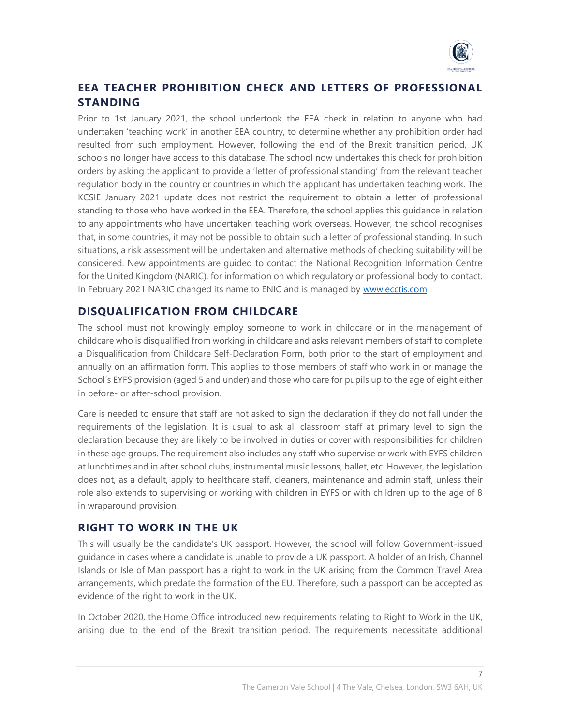

# **EEA TEACHER PROHIBITION CHECK AND LETTERS OF PROFESSIONAL STANDING**

Prior to 1st January 2021, the school undertook the EEA check in relation to anyone who had undertaken 'teaching work' in another EEA country, to determine whether any prohibition order had resulted from such employment. However, following the end of the Brexit transition period, UK schools no longer have access to this database. The school now undertakes this check for prohibition orders by asking the applicant to provide a 'letter of professional standing' from the relevant teacher regulation body in the country or countries in which the applicant has undertaken teaching work. The KCSIE January 2021 update does not restrict the requirement to obtain a letter of professional standing to those who have worked in the EEA. Therefore, the school applies this guidance in relation to any appointments who have undertaken teaching work overseas. However, the school recognises that, in some countries, it may not be possible to obtain such a letter of professional standing. In such situations, a risk assessment will be undertaken and alternative methods of checking suitability will be considered. New appointments are guided to contact the National Recognition Information Centre for the United Kingdom (NARIC), for information on which regulatory or professional body to contact. In February 2021 NARIC changed its name to ENIC and is managed by [www.ecctis.com.](http://www.ecctis.com/)

# **DISQUALIFICATION FROM CHILDCARE**

The school must not knowingly employ someone to work in childcare or in the management of childcare who is disqualified from working in childcare and asks relevant members of staff to complete a Disqualification from Childcare Self-Declaration Form, both prior to the start of employment and annually on an affirmation form. This applies to those members of staff who work in or manage the School's EYFS provision (aged 5 and under) and those who care for pupils up to the age of eight either in before- or after-school provision.

Care is needed to ensure that staff are not asked to sign the declaration if they do not fall under the requirements of the legislation. It is usual to ask all classroom staff at primary level to sign the declaration because they are likely to be involved in duties or cover with responsibilities for children in these age groups. The requirement also includes any staff who supervise or work with EYFS children at lunchtimes and in after school clubs, instrumental music lessons, ballet, etc. However, the legislation does not, as a default, apply to healthcare staff, cleaners, maintenance and admin staff, unless their role also extends to supervising or working with children in EYFS or with children up to the age of 8 in wraparound provision.

# **RIGHT TO WORK IN THE UK**

This will usually be the candidate's UK passport. However, the school will follow Government-issued guidance in cases where a candidate is unable to provide a UK passport. A holder of an Irish, Channel Islands or Isle of Man passport has a right to work in the UK arising from the Common Travel Area arrangements, which predate the formation of the EU. Therefore, such a passport can be accepted as evidence of the right to work in the UK.

In October 2020, the Home Office introduced new requirements relating to Right to Work in the UK, arising due to the end of the Brexit transition period. The requirements necessitate additional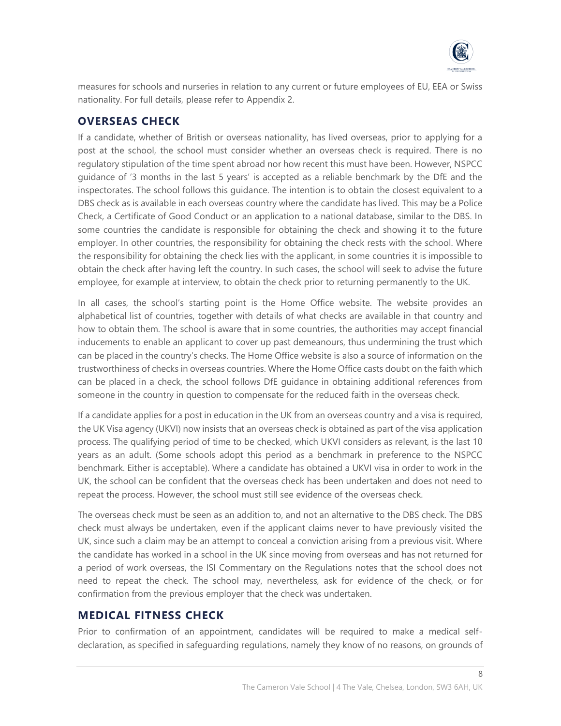

measures for schools and nurseries in relation to any current or future employees of EU, EEA or Swiss nationality. For full details, please refer to Appendix 2.

# **OVERSEAS CHECK**

If a candidate, whether of British or overseas nationality, has lived overseas, prior to applying for a post at the school, the school must consider whether an overseas check is required. There is no regulatory stipulation of the time spent abroad nor how recent this must have been. However, NSPCC guidance of '3 months in the last 5 years' is accepted as a reliable benchmark by the DfE and the inspectorates. The school follows this guidance. The intention is to obtain the closest equivalent to a DBS check as is available in each overseas country where the candidate has lived. This may be a Police Check, a Certificate of Good Conduct or an application to a national database, similar to the DBS. In some countries the candidate is responsible for obtaining the check and showing it to the future employer. In other countries, the responsibility for obtaining the check rests with the school. Where the responsibility for obtaining the check lies with the applicant, in some countries it is impossible to obtain the check after having left the country. In such cases, the school will seek to advise the future employee, for example at interview, to obtain the check prior to returning permanently to the UK.

In all cases, the school's starting point is the Home Office website. The website provides an alphabetical list of countries, together with details of what checks are available in that country and how to obtain them. The school is aware that in some countries, the authorities may accept financial inducements to enable an applicant to cover up past demeanours, thus undermining the trust which can be placed in the country's checks. The Home Office website is also a source of information on the trustworthiness of checks in overseas countries. Where the Home Office casts doubt on the faith which can be placed in a check, the school follows DfE guidance in obtaining additional references from someone in the country in question to compensate for the reduced faith in the overseas check.

If a candidate applies for a post in education in the UK from an overseas country and a visa is required, the UK Visa agency (UKVI) now insists that an overseas check is obtained as part of the visa application process. The qualifying period of time to be checked, which UKVI considers as relevant, is the last 10 years as an adult. (Some schools adopt this period as a benchmark in preference to the NSPCC benchmark. Either is acceptable). Where a candidate has obtained a UKVI visa in order to work in the UK, the school can be confident that the overseas check has been undertaken and does not need to repeat the process. However, the school must still see evidence of the overseas check.

The overseas check must be seen as an addition to, and not an alternative to the DBS check. The DBS check must always be undertaken, even if the applicant claims never to have previously visited the UK, since such a claim may be an attempt to conceal a conviction arising from a previous visit. Where the candidate has worked in a school in the UK since moving from overseas and has not returned for a period of work overseas, the ISI Commentary on the Regulations notes that the school does not need to repeat the check. The school may, nevertheless, ask for evidence of the check, or for confirmation from the previous employer that the check was undertaken.

# **MEDICAL FITNESS CHECK**

Prior to confirmation of an appointment, candidates will be required to make a medical selfdeclaration, as specified in safeguarding regulations, namely they know of no reasons, on grounds of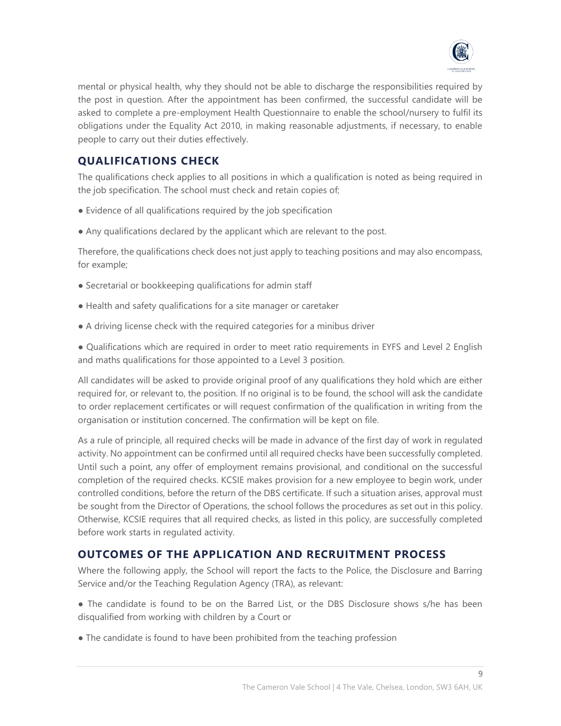

mental or physical health, why they should not be able to discharge the responsibilities required by the post in question. After the appointment has been confirmed, the successful candidate will be asked to complete a pre-employment Health Questionnaire to enable the school/nursery to fulfil its obligations under the Equality Act 2010, in making reasonable adjustments, if necessary, to enable people to carry out their duties effectively.

# **QUALIFICATIONS CHECK**

The qualifications check applies to all positions in which a qualification is noted as being required in the job specification. The school must check and retain copies of;

- Evidence of all qualifications required by the job specification
- Any qualifications declared by the applicant which are relevant to the post.

Therefore, the qualifications check does not just apply to teaching positions and may also encompass, for example;

- Secretarial or bookkeeping qualifications for admin staff
- Health and safety qualifications for a site manager or caretaker
- A driving license check with the required categories for a minibus driver

● Qualifications which are required in order to meet ratio requirements in EYFS and Level 2 English and maths qualifications for those appointed to a Level 3 position.

All candidates will be asked to provide original proof of any qualifications they hold which are either required for, or relevant to, the position. If no original is to be found, the school will ask the candidate to order replacement certificates or will request confirmation of the qualification in writing from the organisation or institution concerned. The confirmation will be kept on file.

As a rule of principle, all required checks will be made in advance of the first day of work in regulated activity. No appointment can be confirmed until all required checks have been successfully completed. Until such a point, any offer of employment remains provisional, and conditional on the successful completion of the required checks. KCSIE makes provision for a new employee to begin work, under controlled conditions, before the return of the DBS certificate. If such a situation arises, approval must be sought from the Director of Operations, the school follows the procedures as set out in this policy. Otherwise, KCSIE requires that all required checks, as listed in this policy, are successfully completed before work starts in regulated activity.

# **OUTCOMES OF THE APPLICATION AND RECRUITMENT PROCESS**

Where the following apply, the School will report the facts to the Police, the Disclosure and Barring Service and/or the Teaching Regulation Agency (TRA), as relevant:

• The candidate is found to be on the Barred List, or the DBS Disclosure shows s/he has been disqualified from working with children by a Court or

• The candidate is found to have been prohibited from the teaching profession

 $\mathsf{Q}$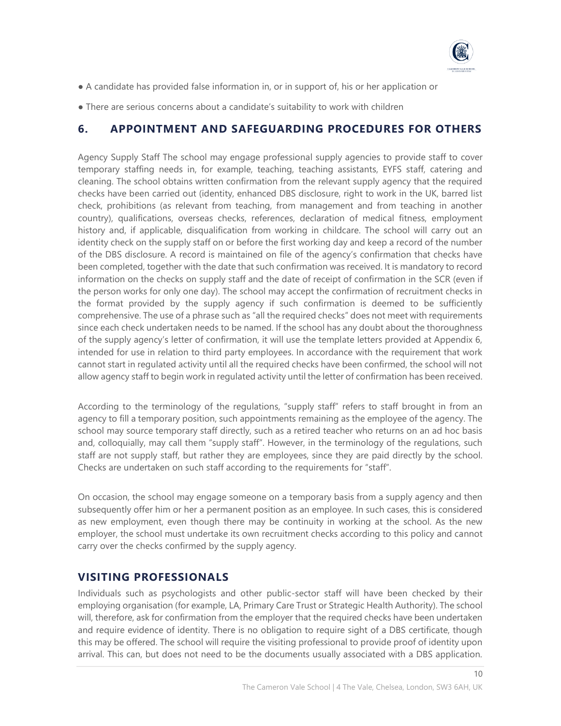

- A candidate has provided false information in, or in support of, his or her application or
- There are serious concerns about a candidate's suitability to work with children

# **6. APPOINTMENT AND SAFEGUARDING PROCEDURES FOR OTHERS**

Agency Supply Staff The school may engage professional supply agencies to provide staff to cover temporary staffing needs in, for example, teaching, teaching assistants, EYFS staff, catering and cleaning. The school obtains written confirmation from the relevant supply agency that the required checks have been carried out (identity, enhanced DBS disclosure, right to work in the UK, barred list check, prohibitions (as relevant from teaching, from management and from teaching in another country), qualifications, overseas checks, references, declaration of medical fitness, employment history and, if applicable, disqualification from working in childcare. The school will carry out an identity check on the supply staff on or before the first working day and keep a record of the number of the DBS disclosure. A record is maintained on file of the agency's confirmation that checks have been completed, together with the date that such confirmation was received. It is mandatory to record information on the checks on supply staff and the date of receipt of confirmation in the SCR (even if the person works for only one day). The school may accept the confirmation of recruitment checks in the format provided by the supply agency if such confirmation is deemed to be sufficiently comprehensive. The use of a phrase such as "all the required checks" does not meet with requirements since each check undertaken needs to be named. If the school has any doubt about the thoroughness of the supply agency's letter of confirmation, it will use the template letters provided at Appendix 6, intended for use in relation to third party employees. In accordance with the requirement that work cannot start in regulated activity until all the required checks have been confirmed, the school will not allow agency staff to begin work in regulated activity until the letter of confirmation has been received.

According to the terminology of the regulations, "supply staff" refers to staff brought in from an agency to fill a temporary position, such appointments remaining as the employee of the agency. The school may source temporary staff directly, such as a retired teacher who returns on an ad hoc basis and, colloquially, may call them "supply staff". However, in the terminology of the regulations, such staff are not supply staff, but rather they are employees, since they are paid directly by the school. Checks are undertaken on such staff according to the requirements for "staff".

On occasion, the school may engage someone on a temporary basis from a supply agency and then subsequently offer him or her a permanent position as an employee. In such cases, this is considered as new employment, even though there may be continuity in working at the school. As the new employer, the school must undertake its own recruitment checks according to this policy and cannot carry over the checks confirmed by the supply agency.

# **VISITING PROFESSIONALS**

Individuals such as psychologists and other public-sector staff will have been checked by their employing organisation (for example, LA, Primary Care Trust or Strategic Health Authority). The school will, therefore, ask for confirmation from the employer that the required checks have been undertaken and require evidence of identity. There is no obligation to require sight of a DBS certificate, though this may be offered. The school will require the visiting professional to provide proof of identity upon arrival. This can, but does not need to be the documents usually associated with a DBS application.

 $1<sub>0</sub>$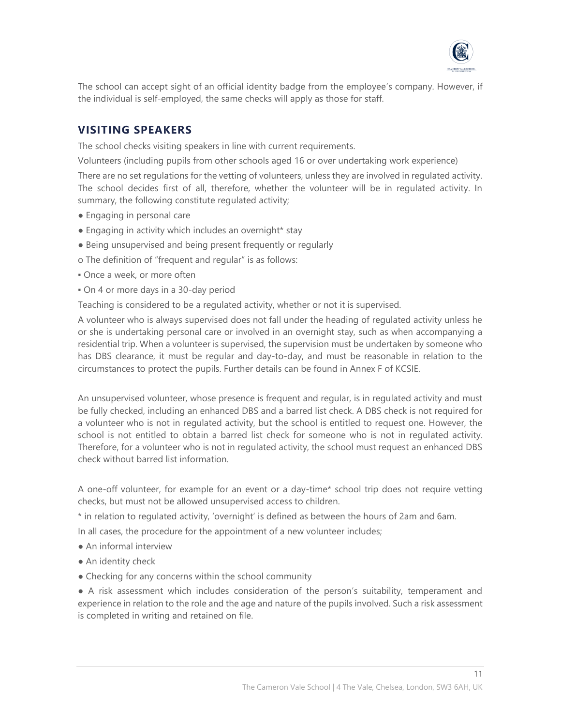

The school can accept sight of an official identity badge from the employee's company. However, if the individual is self-employed, the same checks will apply as those for staff.

# **VISITING SPEAKERS**

The school checks visiting speakers in line with current requirements.

Volunteers (including pupils from other schools aged 16 or over undertaking work experience)

There are no set regulations for the vetting of volunteers, unless they are involved in regulated activity. The school decides first of all, therefore, whether the volunteer will be in regulated activity. In summary, the following constitute regulated activity;

- Engaging in personal care
- Engaging in activity which includes an overnight\* stay
- Being unsupervised and being present frequently or regularly
- o The definition of "frequent and regular" is as follows:
- **Once a week, or more often**
- On 4 or more days in a 30-day period

Teaching is considered to be a regulated activity, whether or not it is supervised.

A volunteer who is always supervised does not fall under the heading of regulated activity unless he or she is undertaking personal care or involved in an overnight stay, such as when accompanying a residential trip. When a volunteer is supervised, the supervision must be undertaken by someone who has DBS clearance, it must be regular and day-to-day, and must be reasonable in relation to the circumstances to protect the pupils. Further details can be found in Annex F of KCSIE.

An unsupervised volunteer, whose presence is frequent and regular, is in regulated activity and must be fully checked, including an enhanced DBS and a barred list check. A DBS check is not required for a volunteer who is not in regulated activity, but the school is entitled to request one. However, the school is not entitled to obtain a barred list check for someone who is not in regulated activity. Therefore, for a volunteer who is not in regulated activity, the school must request an enhanced DBS check without barred list information.

A one-off volunteer, for example for an event or a day-time\* school trip does not require vetting checks, but must not be allowed unsupervised access to children.

\* in relation to regulated activity, 'overnight' is defined as between the hours of 2am and 6am.

In all cases, the procedure for the appointment of a new volunteer includes;

- An informal interview
- An identity check
- Checking for any concerns within the school community

● A risk assessment which includes consideration of the person's suitability, temperament and experience in relation to the role and the age and nature of the pupils involved. Such a risk assessment is completed in writing and retained on file.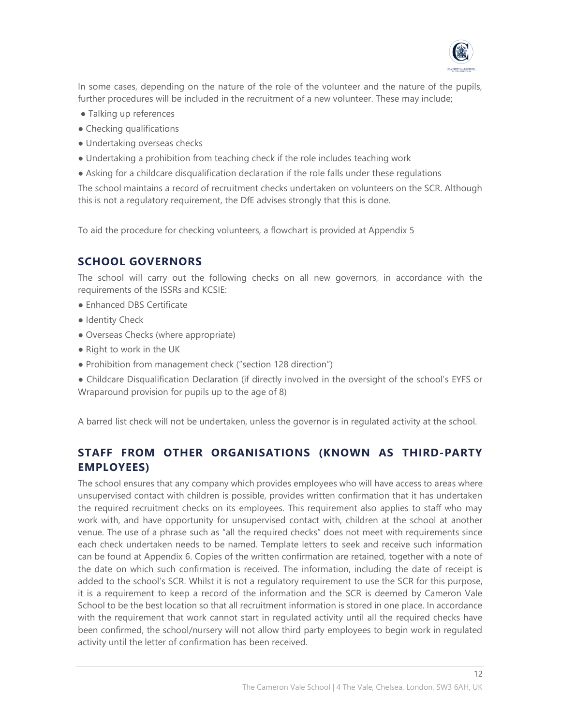

In some cases, depending on the nature of the role of the volunteer and the nature of the pupils, further procedures will be included in the recruitment of a new volunteer. These may include;

- Talking up references
- Checking qualifications
- Undertaking overseas checks
- Undertaking a prohibition from teaching check if the role includes teaching work
- Asking for a childcare disqualification declaration if the role falls under these regulations

The school maintains a record of recruitment checks undertaken on volunteers on the SCR. Although this is not a regulatory requirement, the DfE advises strongly that this is done.

To aid the procedure for checking volunteers, a flowchart is provided at Appendix 5

# **SCHOOL GOVERNORS**

The school will carry out the following checks on all new governors, in accordance with the requirements of the ISSRs and KCSIE:

- Enhanced DBS Certificate
- Identity Check
- Overseas Checks (where appropriate)
- Right to work in the UK
- Prohibition from management check ("section 128 direction")

● Childcare Disqualification Declaration (if directly involved in the oversight of the school's EYFS or Wraparound provision for pupils up to the age of 8)

A barred list check will not be undertaken, unless the governor is in regulated activity at the school.

# **STAFF FROM OTHER ORGANISATIONS (KNOWN AS THIRD-PARTY EMPLOYEES)**

The school ensures that any company which provides employees who will have access to areas where unsupervised contact with children is possible, provides written confirmation that it has undertaken the required recruitment checks on its employees. This requirement also applies to staff who may work with, and have opportunity for unsupervised contact with, children at the school at another venue. The use of a phrase such as "all the required checks" does not meet with requirements since each check undertaken needs to be named. Template letters to seek and receive such information can be found at Appendix 6. Copies of the written confirmation are retained, together with a note of the date on which such confirmation is received. The information, including the date of receipt is added to the school's SCR. Whilst it is not a regulatory requirement to use the SCR for this purpose, it is a requirement to keep a record of the information and the SCR is deemed by Cameron Vale School to be the best location so that all recruitment information is stored in one place. In accordance with the requirement that work cannot start in regulated activity until all the required checks have been confirmed, the school/nursery will not allow third party employees to begin work in regulated activity until the letter of confirmation has been received.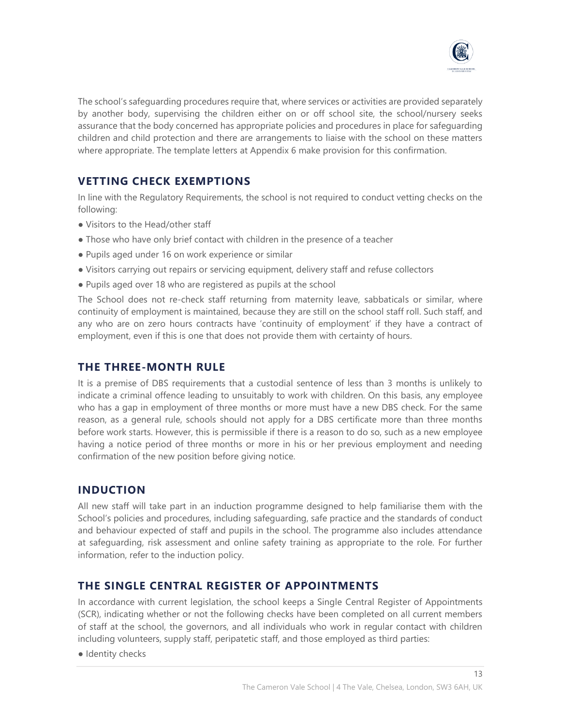

The school's safeguarding procedures require that, where services or activities are provided separately by another body, supervising the children either on or off school site, the school/nursery seeks assurance that the body concerned has appropriate policies and procedures in place for safeguarding children and child protection and there are arrangements to liaise with the school on these matters where appropriate. The template letters at Appendix 6 make provision for this confirmation.

# **VETTING CHECK EXEMPTIONS**

In line with the Regulatory Requirements, the school is not required to conduct vetting checks on the following:

- Visitors to the Head/other staff
- Those who have only brief contact with children in the presence of a teacher
- Pupils aged under 16 on work experience or similar
- Visitors carrying out repairs or servicing equipment, delivery staff and refuse collectors
- Pupils aged over 18 who are registered as pupils at the school

The School does not re-check staff returning from maternity leave, sabbaticals or similar, where continuity of employment is maintained, because they are still on the school staff roll. Such staff, and any who are on zero hours contracts have 'continuity of employment' if they have a contract of employment, even if this is one that does not provide them with certainty of hours.

### **THE THREE-MONTH RULE**

It is a premise of DBS requirements that a custodial sentence of less than 3 months is unlikely to indicate a criminal offence leading to unsuitably to work with children. On this basis, any employee who has a gap in employment of three months or more must have a new DBS check. For the same reason, as a general rule, schools should not apply for a DBS certificate more than three months before work starts. However, this is permissible if there is a reason to do so, such as a new employee having a notice period of three months or more in his or her previous employment and needing confirmation of the new position before giving notice.

# **INDUCTION**

All new staff will take part in an induction programme designed to help familiarise them with the School's policies and procedures, including safeguarding, safe practice and the standards of conduct and behaviour expected of staff and pupils in the school. The programme also includes attendance at safeguarding, risk assessment and online safety training as appropriate to the role. For further information, refer to the induction policy.

#### **THE SINGLE CENTRAL REGISTER OF APPOINTMENTS**

In accordance with current legislation, the school keeps a Single Central Register of Appointments (SCR), indicating whether or not the following checks have been completed on all current members of staff at the school, the governors, and all individuals who work in regular contact with children including volunteers, supply staff, peripatetic staff, and those employed as third parties:

● Identity checks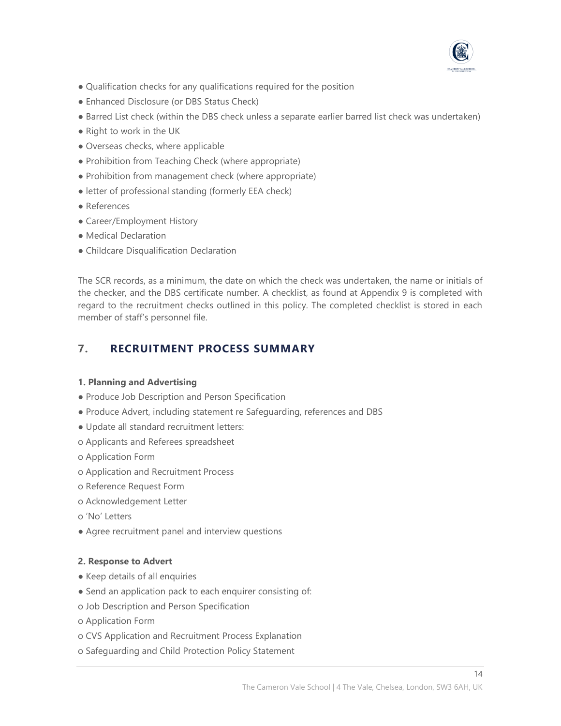

- Qualification checks for any qualifications required for the position
- Enhanced Disclosure (or DBS Status Check)
- Barred List check (within the DBS check unless a separate earlier barred list check was undertaken)
- Right to work in the UK
- Overseas checks, where applicable
- Prohibition from Teaching Check (where appropriate)
- Prohibition from management check (where appropriate)
- letter of professional standing (formerly EEA check)
- References
- Career/Employment History
- Medical Declaration
- Childcare Disqualification Declaration

The SCR records, as a minimum, the date on which the check was undertaken, the name or initials of the checker, and the DBS certificate number. A checklist, as found at Appendix 9 is completed with regard to the recruitment checks outlined in this policy. The completed checklist is stored in each member of staff's personnel file.

# **7. RECRUITMENT PROCESS SUMMARY**

#### **1. Planning and Advertising**

- Produce Job Description and Person Specification
- Produce Advert, including statement re Safeguarding, references and DBS
- Update all standard recruitment letters:
- o Applicants and Referees spreadsheet
- o Application Form
- o Application and Recruitment Process
- o Reference Request Form
- o Acknowledgement Letter
- o 'No' Letters
- Agree recruitment panel and interview questions

#### **2. Response to Advert**

- Keep details of all enquiries
- Send an application pack to each enquirer consisting of:
- o Job Description and Person Specification
- o Application Form
- o CVS Application and Recruitment Process Explanation
- o Safeguarding and Child Protection Policy Statement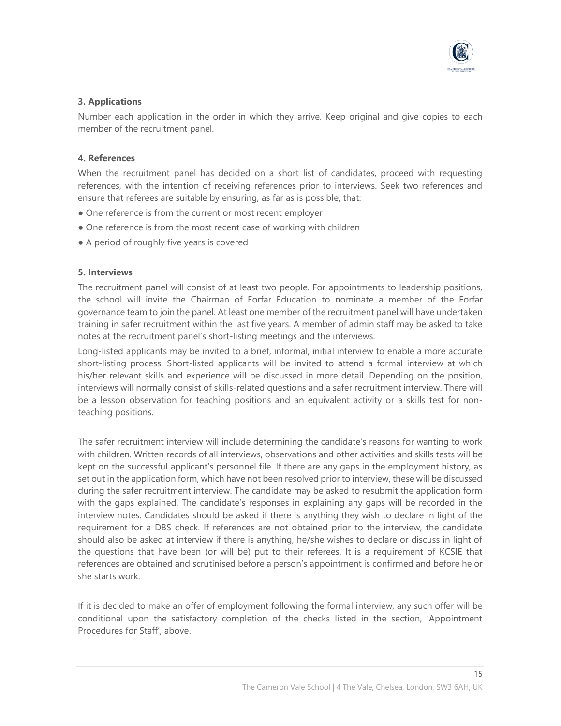

#### **3. Applications**

Number each application in the order in which they arrive. Keep original and give copies to each member of the recruitment panel.

#### **4. References**

When the recruitment panel has decided on a short list of candidates, proceed with requesting references, with the intention of receiving references prior to interviews. Seek two references and ensure that referees are suitable by ensuring, as far as is possible, that:

- One reference is from the current or most recent employer
- One reference is from the most recent case of working with children
- A period of roughly five years is covered

#### **5. Interviews**

The recruitment panel will consist of at least two people. For appointments to leadership positions, the school will invite the Chairman of Forfar Education to nominate a member of the Forfar governance team to join the panel. At least one member of the recruitment panel will have undertaken training in safer recruitment within the last five years. A member of admin staff may be asked to take notes at the recruitment panel's short-listing meetings and the interviews.

Long-listed applicants may be invited to a brief, informal, initial interview to enable a more accurate short-listing process. Short-listed applicants will be invited to attend a formal interview at which his/her relevant skills and experience will be discussed in more detail. Depending on the position, interviews will normally consist of skills-related questions and a safer recruitment interview. There will be a lesson observation for teaching positions and an equivalent activity or a skills test for nonteaching positions.

The safer recruitment interview will include determining the candidate's reasons for wanting to work with children. Written records of all interviews, observations and other activities and skills tests will be kept on the successful applicant's personnel file. If there are any gaps in the employment history, as set out in the application form, which have not been resolved prior to interview, these will be discussed during the safer recruitment interview. The candidate may be asked to resubmit the application form with the gaps explained. The candidate's responses in explaining any gaps will be recorded in the interview notes. Candidates should be asked if there is anything they wish to declare in light of the requirement for a DBS check. If references are not obtained prior to the interview, the candidate should also be asked at interview if there is anything, he/she wishes to declare or discuss in light of the questions that have been (or will be) put to their referees. It is a requirement of KCSIE that references are obtained and scrutinised before a person's appointment is confirmed and before he or she starts work.

If it is decided to make an offer of employment following the formal interview, any such offer will be conditional upon the satisfactory completion of the checks listed in the section, 'Appointment Procedures for Staff', above.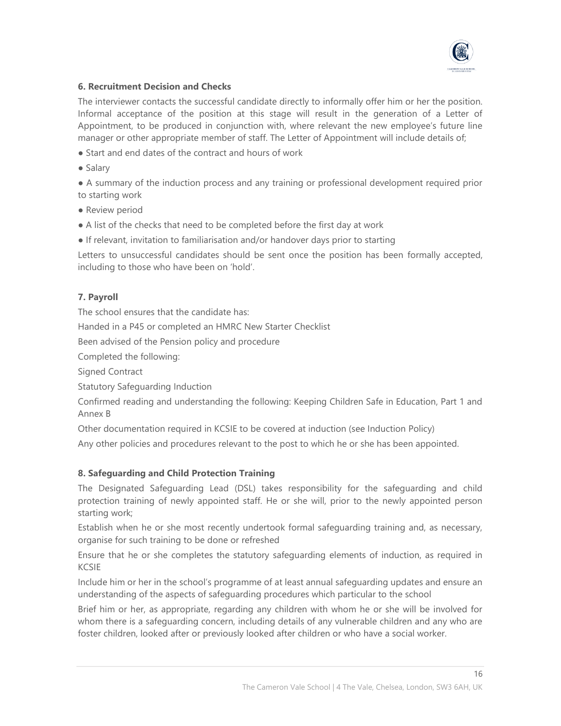

#### **6. Recruitment Decision and Checks**

The interviewer contacts the successful candidate directly to informally offer him or her the position. Informal acceptance of the position at this stage will result in the generation of a Letter of Appointment, to be produced in conjunction with, where relevant the new employee's future line manager or other appropriate member of staff. The Letter of Appointment will include details of;

- Start and end dates of the contract and hours of work
- Salary

● A summary of the induction process and any training or professional development required prior to starting work

- Review period
- A list of the checks that need to be completed before the first day at work
- If relevant, invitation to familiarisation and/or handover days prior to starting

Letters to unsuccessful candidates should be sent once the position has been formally accepted, including to those who have been on 'hold'.

#### **7. Payroll**

The school ensures that the candidate has:

Handed in a P45 or completed an HMRC New Starter Checklist

Been advised of the Pension policy and procedure

Completed the following:

Signed Contract

Statutory Safeguarding Induction

Confirmed reading and understanding the following: Keeping Children Safe in Education, Part 1 and Annex B

Other documentation required in KCSIE to be covered at induction (see Induction Policy)

Any other policies and procedures relevant to the post to which he or she has been appointed.

#### **8. Safeguarding and Child Protection Training**

The Designated Safeguarding Lead (DSL) takes responsibility for the safeguarding and child protection training of newly appointed staff. He or she will, prior to the newly appointed person starting work;

Establish when he or she most recently undertook formal safeguarding training and, as necessary, organise for such training to be done or refreshed

Ensure that he or she completes the statutory safeguarding elements of induction, as required in KCSIE

Include him or her in the school's programme of at least annual safeguarding updates and ensure an understanding of the aspects of safeguarding procedures which particular to the school

Brief him or her, as appropriate, regarding any children with whom he or she will be involved for whom there is a safeguarding concern, including details of any vulnerable children and any who are foster children, looked after or previously looked after children or who have a social worker.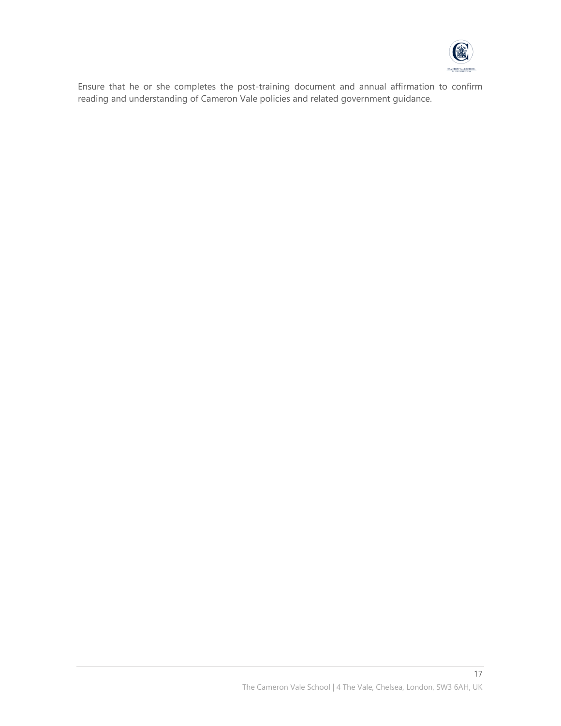

Ensure that he or she completes the post-training document and annual affirmation to confirm reading and understanding of Cameron Vale policies and related government guidance.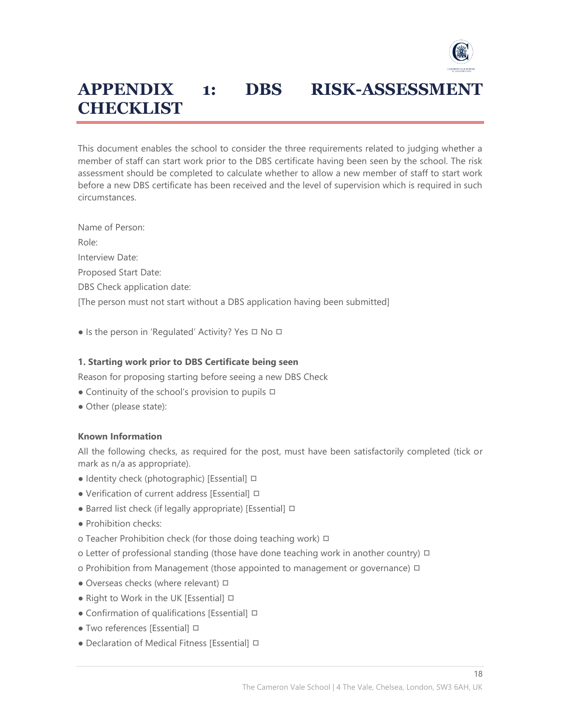

# **APPENDIX 1: DBS RISK-ASSESSMENT CHECKLIST**

This document enables the school to consider the three requirements related to judging whether a member of staff can start work prior to the DBS certificate having been seen by the school. The risk assessment should be completed to calculate whether to allow a new member of staff to start work before a new DBS certificate has been received and the level of supervision which is required in such circumstances.

Name of Person: Role: Interview Date: Proposed Start Date: DBS Check application date: [The person must not start without a DBS application having been submitted]

• Is the person in 'Regulated' Activity? Yes □ No □

#### **1. Starting work prior to DBS Certificate being seen**

Reason for proposing starting before seeing a new DBS Check

- Continuity of the school's provision to pupils **□**
- Other (please state):

#### **Known Information**

All the following checks, as required for the post, must have been satisfactorily completed (tick or mark as n/a as appropriate).

- Identity check (photographic) [Essential] □
- Verification of current address [Essential] □
- Barred list check (if legally appropriate) [Essential] □
- Prohibition checks:
- o Teacher Prohibition check (for those doing teaching work) □
- o Letter of professional standing (those have done teaching work in another country) □
- o Prohibition from Management (those appointed to management or governance) □
- Overseas checks (where relevant) □
- Right to Work in the UK [Essential] □
- Confirmation of qualifications [Essential] □
- Two references [Essential] □
- Declaration of Medical Fitness [Essential] □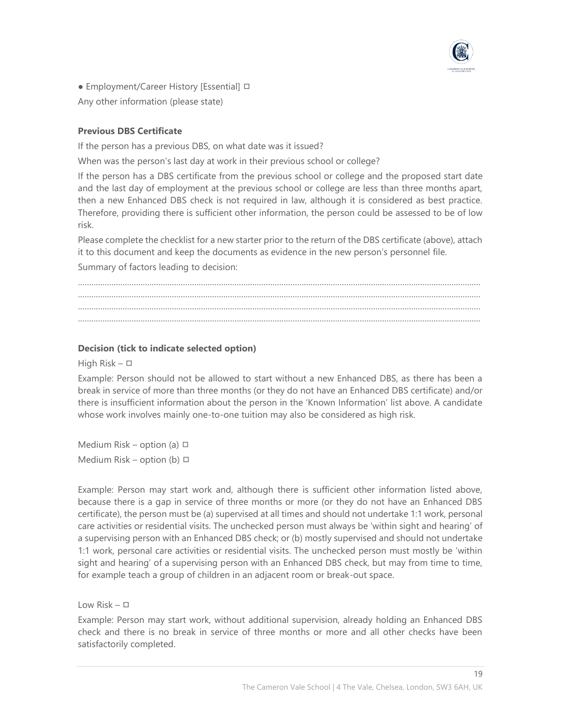

• Employment/Career History [Essential] □

Any other information (please state)

#### **Previous DBS Certificate**

If the person has a previous DBS, on what date was it issued?

When was the person's last day at work in their previous school or college?

If the person has a DBS certificate from the previous school or college and the proposed start date and the last day of employment at the previous school or college are less than three months apart, then a new Enhanced DBS check is not required in law, although it is considered as best practice. Therefore, providing there is sufficient other information, the person could be assessed to be of low risk.

Please complete the checklist for a new starter prior to the return of the DBS certificate (above), attach it to this document and keep the documents as evidence in the new person's personnel file.

Summary of factors leading to decision:

……………………………………………………………………………………………………………………………………………………………… ……………………………………………………………………………………………………………………………………………………………… ……………………………………………………………………………………………………………………………………………………………… ………………………………………………………………………………………………………………………………………………………………

#### **Decision (tick to indicate selected option)**

High Risk – ◻

Example: Person should not be allowed to start without a new Enhanced DBS, as there has been a break in service of more than three months (or they do not have an Enhanced DBS certificate) and/or there is insufficient information about the person in the 'Known Information' list above. A candidate whose work involves mainly one-to-one tuition may also be considered as high risk.

Medium Risk – option (a)  $\Box$ Medium Risk – option (b)  $\Box$ 

Example: Person may start work and, although there is sufficient other information listed above, because there is a gap in service of three months or more (or they do not have an Enhanced DBS certificate), the person must be (a) supervised at all times and should not undertake 1:1 work, personal care activities or residential visits. The unchecked person must always be 'within sight and hearing' of a supervising person with an Enhanced DBS check; or (b) mostly supervised and should not undertake 1:1 work, personal care activities or residential visits. The unchecked person must mostly be 'within sight and hearing' of a supervising person with an Enhanced DBS check, but may from time to time, for example teach a group of children in an adjacent room or break-out space.

Low Risk – ◻

Example: Person may start work, without additional supervision, already holding an Enhanced DBS check and there is no break in service of three months or more and all other checks have been satisfactorily completed.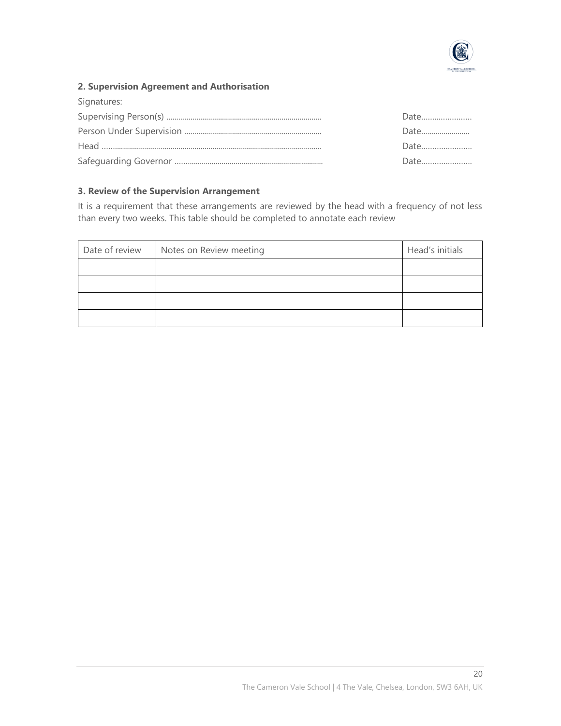

#### **2. Supervision Agreement and Authorisation**

| Signatures: |      |
|-------------|------|
|             | Date |
|             | Date |
|             | Date |
|             | Date |

#### **3. Review of the Supervision Arrangement**

It is a requirement that these arrangements are reviewed by the head with a frequency of not less than every two weeks. This table should be completed to annotate each review

| Date of review | Notes on Review meeting | Head's initials |
|----------------|-------------------------|-----------------|
|                |                         |                 |
|                |                         |                 |
|                |                         |                 |
|                |                         |                 |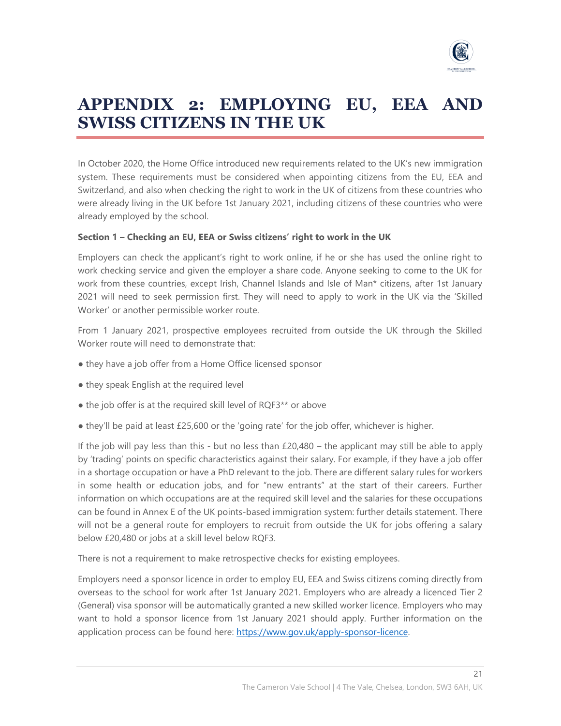

# **APPENDIX 2: EMPLOYING EU, EEA AND SWISS CITIZENS IN THE UK**

In October 2020, the Home Office introduced new requirements related to the UK's new immigration system. These requirements must be considered when appointing citizens from the EU, EEA and Switzerland, and also when checking the right to work in the UK of citizens from these countries who were already living in the UK before 1st January 2021, including citizens of these countries who were already employed by the school.

#### **Section 1 – Checking an EU, EEA or Swiss citizens' right to work in the UK**

Employers can check the applicant's right to work online, if he or she has used the online right to work checking service and given the employer a share code. Anyone seeking to come to the UK for work from these countries, except Irish, Channel Islands and Isle of Man\* citizens, after 1st January 2021 will need to seek permission first. They will need to apply to work in the UK via the 'Skilled Worker' or another permissible worker route.

From 1 January 2021, prospective employees recruited from outside the UK through the Skilled Worker route will need to demonstrate that:

- they have a job offer from a Home Office licensed sponsor
- they speak English at the required level
- the job offer is at the required skill level of RQF3<sup>\*\*</sup> or above
- they'll be paid at least £25,600 or the 'going rate' for the job offer, whichever is higher.

If the job will pay less than this - but no less than £20,480 – the applicant may still be able to apply by 'trading' points on specific characteristics against their salary. For example, if they have a job offer in a shortage occupation or have a PhD relevant to the job. There are different salary rules for workers in some health or education jobs, and for "new entrants" at the start of their careers. Further information on which occupations are at the required skill level and the salaries for these occupations can be found in Annex E of the UK points-based immigration system: further details statement. There will not be a general route for employers to recruit from outside the UK for jobs offering a salary below £20,480 or jobs at a skill level below RQF3.

There is not a requirement to make retrospective checks for existing employees.

Employers need a sponsor licence in order to employ EU, EEA and Swiss citizens coming directly from overseas to the school for work after 1st January 2021. Employers who are already a licenced Tier 2 (General) visa sponsor will be automatically granted a new skilled worker licence. Employers who may want to hold a sponsor licence from 1st January 2021 should apply. Further information on the application process can be found here: https://www.gov.uk/apply-sponsor-licence.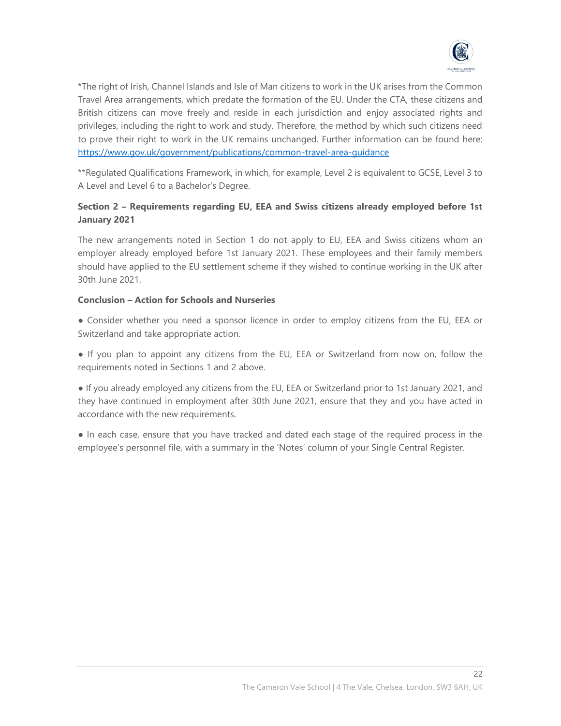

\*The right of Irish, Channel Islands and Isle of Man citizens to work in the UK arises from the Common Travel Area arrangements, which predate the formation of the EU. Under the CTA, these citizens and British citizens can move freely and reside in each jurisdiction and enjoy associated rights and privileges, including the right to work and study. Therefore, the method by which such citizens need to prove their right to work in the UK remains unchanged. Further information can be found here: <https://www.gov.uk/government/publications/common-travel-area-guidance>

\*\*Regulated Qualifications Framework, in which, for example, Level 2 is equivalent to GCSE, Level 3 to A Level and Level 6 to a Bachelor's Degree.

#### **Section 2 – Requirements regarding EU, EEA and Swiss citizens already employed before 1st January 2021**

The new arrangements noted in Section 1 do not apply to EU, EEA and Swiss citizens whom an employer already employed before 1st January 2021. These employees and their family members should have applied to the EU settlement scheme if they wished to continue working in the UK after 30th June 2021.

#### **Conclusion – Action for Schools and Nurseries**

● Consider whether you need a sponsor licence in order to employ citizens from the EU, EEA or Switzerland and take appropriate action.

● If you plan to appoint any citizens from the EU, EEA or Switzerland from now on, follow the requirements noted in Sections 1 and 2 above.

● If you already employed any citizens from the EU, EEA or Switzerland prior to 1st January 2021, and they have continued in employment after 30th June 2021, ensure that they and you have acted in accordance with the new requirements.

• In each case, ensure that you have tracked and dated each stage of the required process in the employee's personnel file, with a summary in the 'Notes' column of your Single Central Register.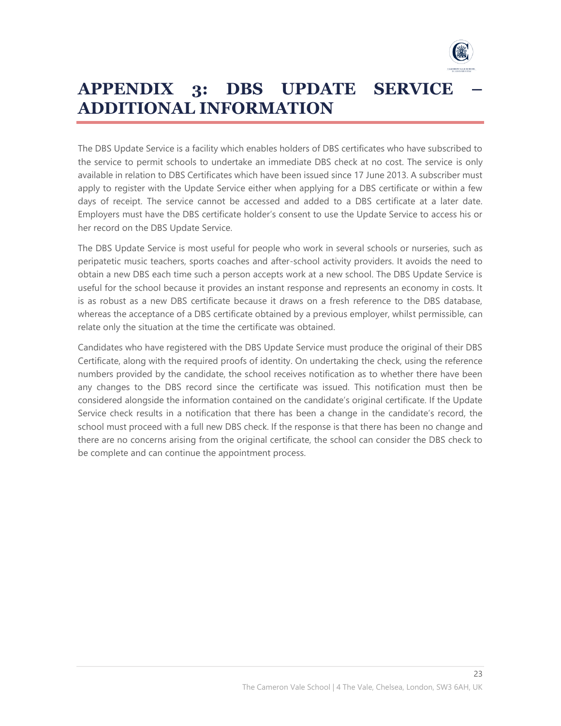

# **APPENDIX 3: DBS UPDATE SERVICE – ADDITIONAL INFORMATION**

The DBS Update Service is a facility which enables holders of DBS certificates who have subscribed to the service to permit schools to undertake an immediate DBS check at no cost. The service is only available in relation to DBS Certificates which have been issued since 17 June 2013. A subscriber must apply to register with the Update Service either when applying for a DBS certificate or within a few days of receipt. The service cannot be accessed and added to a DBS certificate at a later date. Employers must have the DBS certificate holder's consent to use the Update Service to access his or her record on the DBS Update Service.

The DBS Update Service is most useful for people who work in several schools or nurseries, such as peripatetic music teachers, sports coaches and after-school activity providers. It avoids the need to obtain a new DBS each time such a person accepts work at a new school. The DBS Update Service is useful for the school because it provides an instant response and represents an economy in costs. It is as robust as a new DBS certificate because it draws on a fresh reference to the DBS database, whereas the acceptance of a DBS certificate obtained by a previous employer, whilst permissible, can relate only the situation at the time the certificate was obtained.

Candidates who have registered with the DBS Update Service must produce the original of their DBS Certificate, along with the required proofs of identity. On undertaking the check, using the reference numbers provided by the candidate, the school receives notification as to whether there have been any changes to the DBS record since the certificate was issued. This notification must then be considered alongside the information contained on the candidate's original certificate. If the Update Service check results in a notification that there has been a change in the candidate's record, the school must proceed with a full new DBS check. If the response is that there has been no change and there are no concerns arising from the original certificate, the school can consider the DBS check to be complete and can continue the appointment process.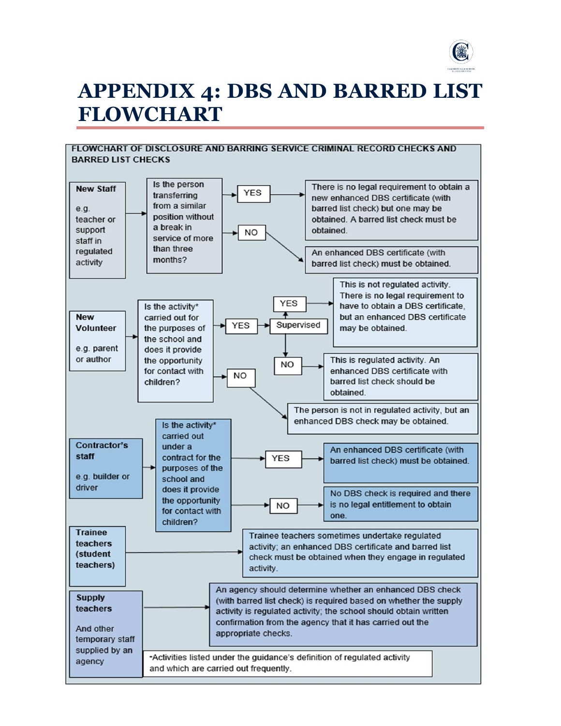

# **APPENDIX 4: DBS AND BARRED LIST FLOWCHART**

#### **FLOWCHART OF DISCLOSURE AND BARRING SERVICE CRIMINAL RECORD CHECKS AND BARRED LIST CHECKS**

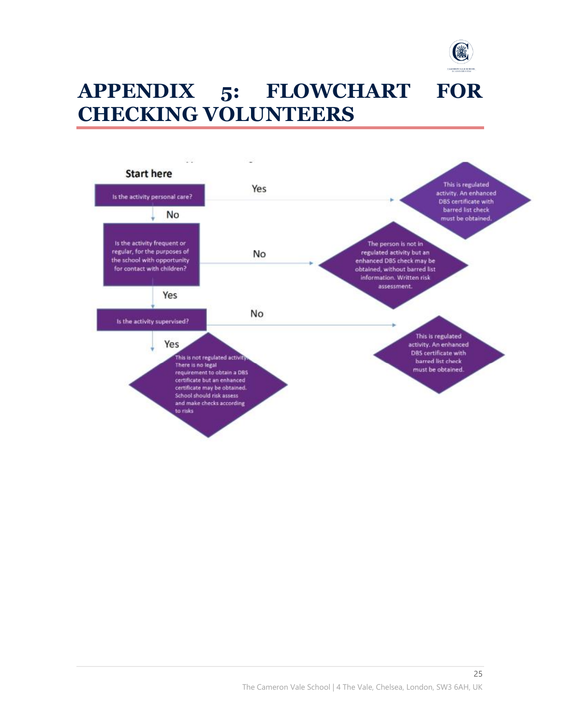

# **APPENDIX 5: FLOWCHART FOR CHECKING VOLUNTEERS**

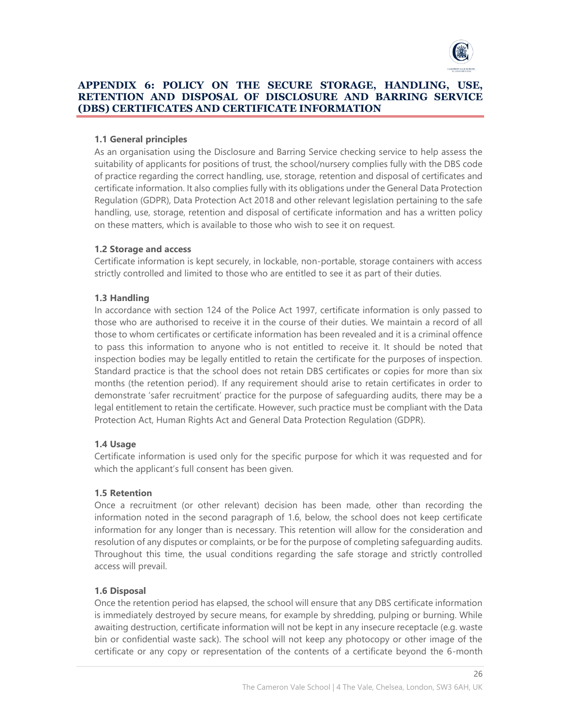

#### **APPENDIX 6: POLICY ON THE SECURE STORAGE, HANDLING, USE, RETENTION AND DISPOSAL OF DISCLOSURE AND BARRING SERVICE (DBS) CERTIFICATES AND CERTIFICATE INFORMATION**

#### **1.1 General principles**

As an organisation using the Disclosure and Barring Service checking service to help assess the suitability of applicants for positions of trust, the school/nursery complies fully with the DBS code of practice regarding the correct handling, use, storage, retention and disposal of certificates and certificate information. It also complies fully with its obligations under the General Data Protection Regulation (GDPR), Data Protection Act 2018 and other relevant legislation pertaining to the safe handling, use, storage, retention and disposal of certificate information and has a written policy on these matters, which is available to those who wish to see it on request.

#### **1.2 Storage and access**

Certificate information is kept securely, in lockable, non-portable, storage containers with access strictly controlled and limited to those who are entitled to see it as part of their duties.

#### **1.3 Handling**

In accordance with section 124 of the Police Act 1997, certificate information is only passed to those who are authorised to receive it in the course of their duties. We maintain a record of all those to whom certificates or certificate information has been revealed and it is a criminal offence to pass this information to anyone who is not entitled to receive it. It should be noted that inspection bodies may be legally entitled to retain the certificate for the purposes of inspection. Standard practice is that the school does not retain DBS certificates or copies for more than six months (the retention period). If any requirement should arise to retain certificates in order to demonstrate 'safer recruitment' practice for the purpose of safeguarding audits, there may be a legal entitlement to retain the certificate. However, such practice must be compliant with the Data Protection Act, Human Rights Act and General Data Protection Regulation (GDPR).

#### **1.4 Usage**

Certificate information is used only for the specific purpose for which it was requested and for which the applicant's full consent has been given.

#### **1.5 Retention**

Once a recruitment (or other relevant) decision has been made, other than recording the information noted in the second paragraph of 1.6, below, the school does not keep certificate information for any longer than is necessary. This retention will allow for the consideration and resolution of any disputes or complaints, or be for the purpose of completing safeguarding audits. Throughout this time, the usual conditions regarding the safe storage and strictly controlled access will prevail.

#### **1.6 Disposal**

Once the retention period has elapsed, the school will ensure that any DBS certificate information is immediately destroyed by secure means, for example by shredding, pulping or burning. While awaiting destruction, certificate information will not be kept in any insecure receptacle (e.g. waste bin or confidential waste sack). The school will not keep any photocopy or other image of the certificate or any copy or representation of the contents of a certificate beyond the 6-month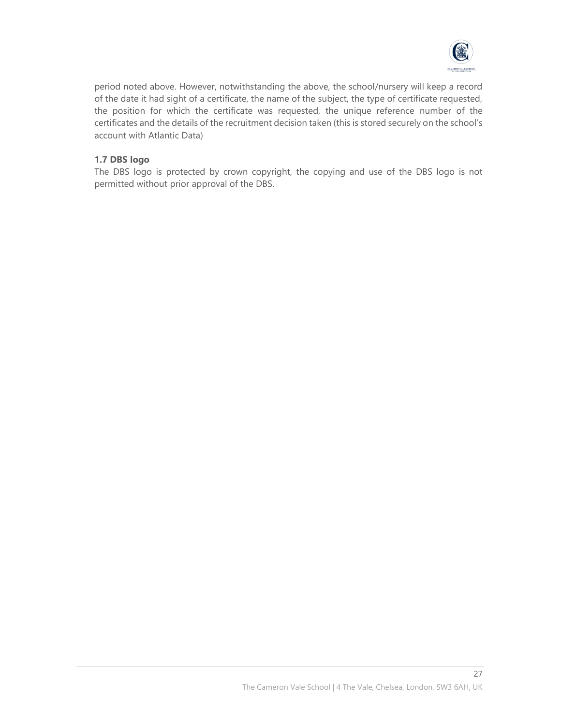

period noted above. However, notwithstanding the above, the school/nursery will keep a record of the date it had sight of a certificate, the name of the subject, the type of certificate requested, the position for which the certificate was requested, the unique reference number of the certificates and the details of the recruitment decision taken (this is stored securely on the school's account with Atlantic Data)

#### **1.7 DBS logo**

The DBS logo is protected by crown copyright, the copying and use of the DBS logo is not permitted without prior approval of the DBS.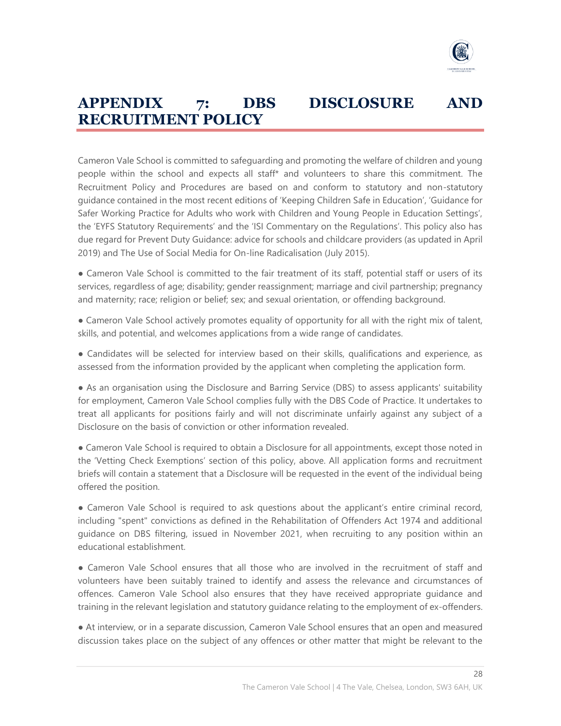

# **APPENDIX 7: DBS DISCLOSURE AND RECRUITMENT POLICY**

Cameron Vale School is committed to safeguarding and promoting the welfare of children and young people within the school and expects all staff\* and volunteers to share this commitment. The Recruitment Policy and Procedures are based on and conform to statutory and non-statutory guidance contained in the most recent editions of 'Keeping Children Safe in Education', 'Guidance for Safer Working Practice for Adults who work with Children and Young People in Education Settings', the 'EYFS Statutory Requirements' and the 'ISI Commentary on the Regulations'. This policy also has due regard for Prevent Duty Guidance: advice for schools and childcare providers (as updated in April 2019) and The Use of Social Media for On-line Radicalisation (July 2015).

● Cameron Vale School is committed to the fair treatment of its staff, potential staff or users of its services, regardless of age; disability; gender reassignment; marriage and civil partnership; pregnancy and maternity; race; religion or belief; sex; and sexual orientation, or offending background.

• Cameron Vale School actively promotes equality of opportunity for all with the right mix of talent, skills, and potential, and welcomes applications from a wide range of candidates.

● Candidates will be selected for interview based on their skills, qualifications and experience, as assessed from the information provided by the applicant when completing the application form.

● As an organisation using the Disclosure and Barring Service (DBS) to assess applicants' suitability for employment, Cameron Vale School complies fully with the DBS Code of Practice. It undertakes to treat all applicants for positions fairly and will not discriminate unfairly against any subject of a Disclosure on the basis of conviction or other information revealed.

● Cameron Vale School is required to obtain a Disclosure for all appointments, except those noted in the 'Vetting Check Exemptions' section of this policy, above. All application forms and recruitment briefs will contain a statement that a Disclosure will be requested in the event of the individual being offered the position.

• Cameron Vale School is required to ask questions about the applicant's entire criminal record, including "spent" convictions as defined in the Rehabilitation of Offenders Act 1974 and additional guidance on DBS filtering, issued in November 2021, when recruiting to any position within an educational establishment.

• Cameron Vale School ensures that all those who are involved in the recruitment of staff and volunteers have been suitably trained to identify and assess the relevance and circumstances of offences. Cameron Vale School also ensures that they have received appropriate guidance and training in the relevant legislation and statutory guidance relating to the employment of ex-offenders.

● At interview, or in a separate discussion, Cameron Vale School ensures that an open and measured discussion takes place on the subject of any offences or other matter that might be relevant to the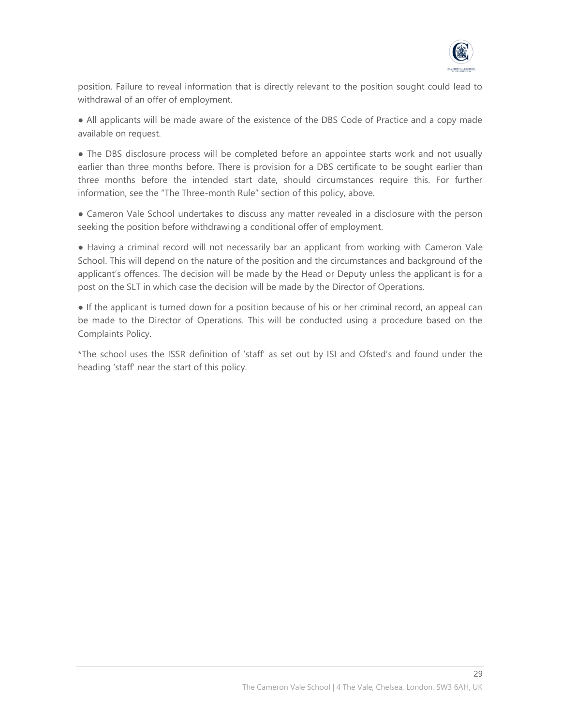

position. Failure to reveal information that is directly relevant to the position sought could lead to withdrawal of an offer of employment.

● All applicants will be made aware of the existence of the DBS Code of Practice and a copy made available on request.

• The DBS disclosure process will be completed before an appointee starts work and not usually earlier than three months before. There is provision for a DBS certificate to be sought earlier than three months before the intended start date, should circumstances require this. For further information, see the "The Three-month Rule" section of this policy, above.

• Cameron Vale School undertakes to discuss any matter revealed in a disclosure with the person seeking the position before withdrawing a conditional offer of employment.

● Having a criminal record will not necessarily bar an applicant from working with Cameron Vale School. This will depend on the nature of the position and the circumstances and background of the applicant's offences. The decision will be made by the Head or Deputy unless the applicant is for a post on the SLT in which case the decision will be made by the Director of Operations.

● If the applicant is turned down for a position because of his or her criminal record, an appeal can be made to the Director of Operations. This will be conducted using a procedure based on the Complaints Policy.

\*The school uses the ISSR definition of 'staff' as set out by ISI and Ofsted's and found under the heading 'staff' near the start of this policy.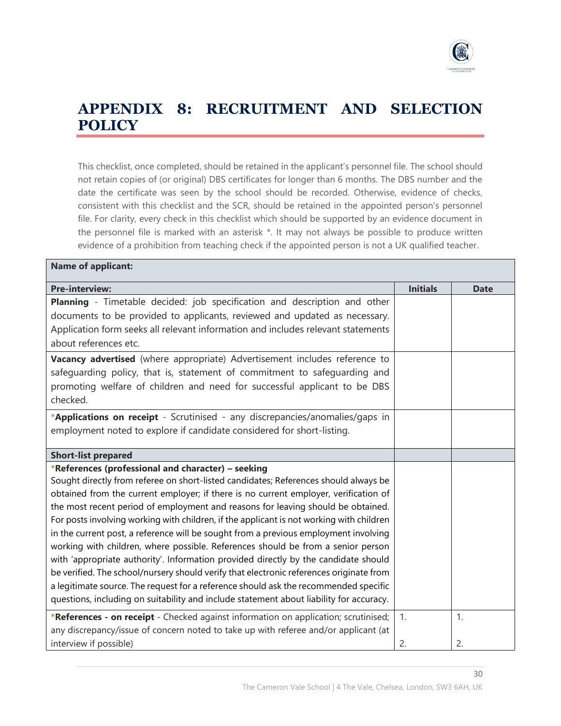

# **APPENDIX 8: RECRUITMENT AND SELECTION POLICY**

This checklist, once completed, should be retained in the applicant's personnel file. The school should not retain copies of (or original) DBS certificates for longer than 6 months. The DBS number and the date the certificate was seen by the school should be recorded. Otherwise, evidence of checks, consistent with this checklist and the SCR, should be retained in the appointed person's personnel file. For clarity, every check in this checklist which should be supported by an evidence document in the personnel file is marked with an asterisk \*. It may not always be possible to produce written evidence of a prohibition from teaching check if the appointed person is not a UK qualified teacher.

| <b>Name of applicant:</b>                                                                |                 |             |  |  |
|------------------------------------------------------------------------------------------|-----------------|-------------|--|--|
| <b>Pre-interview:</b>                                                                    | <b>Initials</b> | <b>Date</b> |  |  |
| Planning - Timetable decided: job specification and description and other                |                 |             |  |  |
| documents to be provided to applicants, reviewed and updated as necessary.               |                 |             |  |  |
| Application form seeks all relevant information and includes relevant statements         |                 |             |  |  |
| about references etc.                                                                    |                 |             |  |  |
| Vacancy advertised (where appropriate) Advertisement includes reference to               |                 |             |  |  |
| safeguarding policy, that is, statement of commitment to safeguarding and                |                 |             |  |  |
| promoting welfare of children and need for successful applicant to be DBS                |                 |             |  |  |
| checked.                                                                                 |                 |             |  |  |
| *Applications on receipt - Scrutinised - any discrepancies/anomalies/gaps in             |                 |             |  |  |
| employment noted to explore if candidate considered for short-listing.                   |                 |             |  |  |
|                                                                                          |                 |             |  |  |
| <b>Short-list prepared</b>                                                               |                 |             |  |  |
| *References (professional and character) - seeking                                       |                 |             |  |  |
| Sought directly from referee on short-listed candidates; References should always be     |                 |             |  |  |
| obtained from the current employer; if there is no current employer, verification of     |                 |             |  |  |
| the most recent period of employment and reasons for leaving should be obtained.         |                 |             |  |  |
| For posts involving working with children, if the applicant is not working with children |                 |             |  |  |
| in the current post, a reference will be sought from a previous employment involving     |                 |             |  |  |
| working with children, where possible. References should be from a senior person         |                 |             |  |  |
| with 'appropriate authority'. Information provided directly by the candidate should      |                 |             |  |  |
| be verified. The school/nursery should verify that electronic references originate from  |                 |             |  |  |
| a legitimate source. The request for a reference should ask the recommended specific     |                 |             |  |  |
| questions, including on suitability and include statement about liability for accuracy.  |                 |             |  |  |
| *References - on receipt - Checked against information on application; scrutinised;      | 1.              | 1.          |  |  |
| any discrepancy/issue of concern noted to take up with referee and/or applicant (at      |                 |             |  |  |
| interview if possible)                                                                   | 2.              | 2.          |  |  |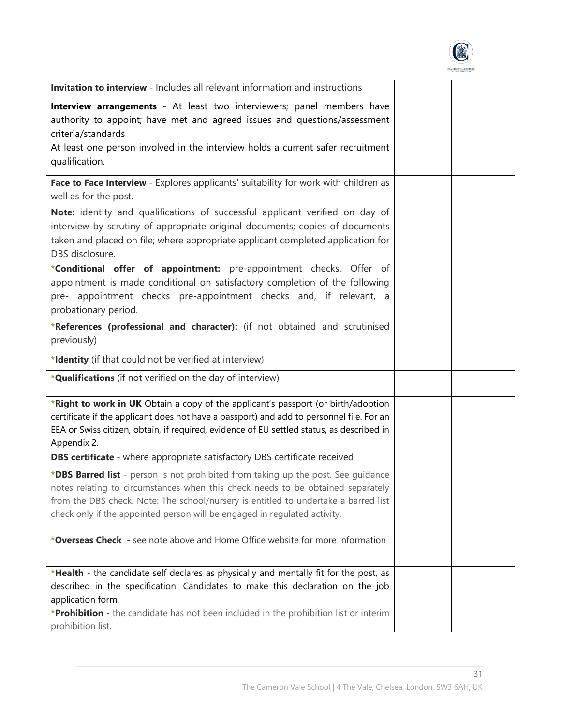

| <b>Invitation to interview</b> - Includes all relevant information and instructions                                                                                                                                                                                                                                                      |  |
|------------------------------------------------------------------------------------------------------------------------------------------------------------------------------------------------------------------------------------------------------------------------------------------------------------------------------------------|--|
| Interview arrangements - At least two interviewers; panel members have<br>authority to appoint; have met and agreed issues and questions/assessment<br>criteria/standards<br>At least one person involved in the interview holds a current safer recruitment<br>qualification.                                                           |  |
| Face to Face Interview - Explores applicants' suitability for work with children as<br>well as for the post.                                                                                                                                                                                                                             |  |
| Note: identity and qualifications of successful applicant verified on day of<br>interview by scrutiny of appropriate original documents; copies of documents<br>taken and placed on file; where appropriate applicant completed application for<br>DBS disclosure.                                                                       |  |
| *Conditional offer of appointment: pre-appointment checks. Offer of<br>appointment is made conditional on satisfactory completion of the following<br>pre- appointment checks pre-appointment checks and, if relevant, a<br>probationary period.                                                                                         |  |
| *References (professional and character): (if not obtained and scrutinised<br>previously)                                                                                                                                                                                                                                                |  |
| *Identity (if that could not be verified at interview)                                                                                                                                                                                                                                                                                   |  |
| * <b>Qualifications</b> (if not verified on the day of interview)                                                                                                                                                                                                                                                                        |  |
| *Right to work in UK Obtain a copy of the applicant's passport (or birth/adoption<br>certificate if the applicant does not have a passport) and add to personnel file. For an<br>EEA or Swiss citizen, obtain, if required, evidence of EU settled status, as described in<br>Appendix 2.                                                |  |
| <b>DBS certificate</b> - where appropriate satisfactory DBS certificate received                                                                                                                                                                                                                                                         |  |
| *DBS Barred list - person is not prohibited from taking up the post. See guidance<br>notes relating to circumstances when this check needs to be obtained separately<br>from the DBS check. Note: The school/nursery is entitled to undertake a barred list<br>check only if the appointed person will be engaged in regulated activity. |  |
| *Overseas Check - see note above and Home Office website for more information                                                                                                                                                                                                                                                            |  |
| *Health - the candidate self declares as physically and mentally fit for the post, as<br>described in the specification. Candidates to make this declaration on the job<br>application form.                                                                                                                                             |  |
| *Prohibition - the candidate has not been included in the prohibition list or interim<br>prohibition list.                                                                                                                                                                                                                               |  |